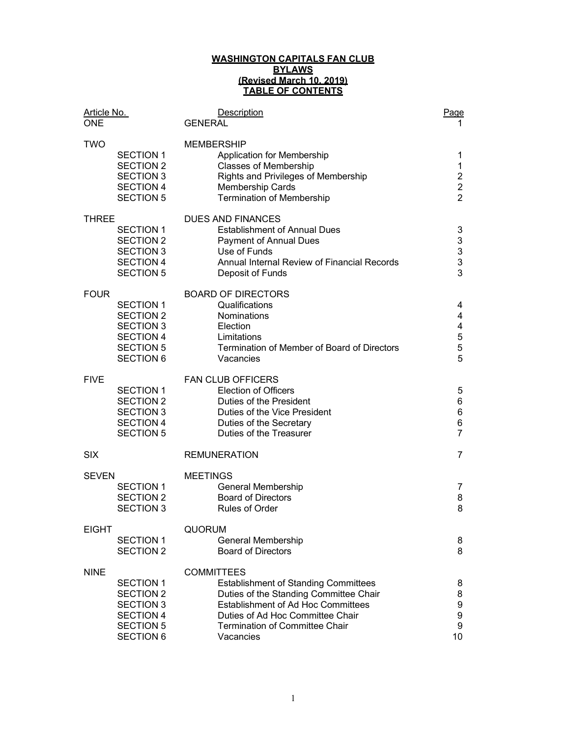#### WASHINGTON CAPITALS FAN CLUB BYLAWS (Revised March 10, 2019) TABLE OF CONTENTS

| Article No.  |                                                                                                                      | <b>Description</b>                                                                                                                                                                                                                         | Page                                                                  |
|--------------|----------------------------------------------------------------------------------------------------------------------|--------------------------------------------------------------------------------------------------------------------------------------------------------------------------------------------------------------------------------------------|-----------------------------------------------------------------------|
| <b>ONE</b>   |                                                                                                                      | <b>GENERAL</b>                                                                                                                                                                                                                             |                                                                       |
| <b>TWO</b>   | <b>SECTION 1</b><br><b>SECTION 2</b><br><b>SECTION 3</b><br><b>SECTION 4</b><br><b>SECTION 5</b>                     | <b>MEMBERSHIP</b><br>Application for Membership<br><b>Classes of Membership</b><br>Rights and Privileges of Membership<br>Membership Cards                                                                                                 | 1<br>1<br>$\overline{\mathbf{c}}$<br>$\overline{c}$<br>$\overline{2}$ |
|              |                                                                                                                      | <b>Termination of Membership</b>                                                                                                                                                                                                           |                                                                       |
| <b>THREE</b> | <b>SECTION 1</b><br><b>SECTION 2</b><br><b>SECTION 3</b><br><b>SECTION 4</b><br><b>SECTION 5</b>                     | <b>DUES AND FINANCES</b><br><b>Establishment of Annual Dues</b><br>Payment of Annual Dues<br>Use of Funds<br>Annual Internal Review of Financial Records<br>Deposit of Funds                                                               | 3<br>3<br>3<br>3<br>3                                                 |
| <b>FOUR</b>  | <b>SECTION 1</b><br><b>SECTION 2</b><br><b>SECTION 3</b><br><b>SECTION 4</b><br><b>SECTION 5</b><br><b>SECTION 6</b> | <b>BOARD OF DIRECTORS</b><br>Qualifications<br><b>Nominations</b><br>Election<br>Limitations<br>Termination of Member of Board of Directors<br>Vacancies                                                                                   | 4<br>4<br>4<br>5<br>5<br>5                                            |
| <b>FIVE</b>  | <b>SECTION 1</b><br><b>SECTION 2</b><br><b>SECTION 3</b><br><b>SECTION 4</b><br><b>SECTION 5</b>                     | <b>FAN CLUB OFFICERS</b><br><b>Election of Officers</b><br>Duties of the President<br>Duties of the Vice President<br>Duties of the Secretary<br>Duties of the Treasurer                                                                   | 5<br>6<br>$\,6$<br>6<br>$\overline{7}$                                |
| <b>SIX</b>   |                                                                                                                      | <b>REMUNERATION</b>                                                                                                                                                                                                                        | $\overline{7}$                                                        |
| <b>SEVEN</b> | <b>SECTION 1</b><br><b>SECTION 2</b><br><b>SECTION 3</b>                                                             | <b>MEETINGS</b><br>General Membership<br><b>Board of Directors</b><br><b>Rules of Order</b>                                                                                                                                                | 7<br>8<br>8                                                           |
| <b>EIGHT</b> | <b>SECTION 1</b><br><b>SECTION 2</b>                                                                                 | <b>QUORUM</b><br>General Membership<br><b>Board of Directors</b>                                                                                                                                                                           | 8<br>8                                                                |
| <b>NINE</b>  | <b>SECTION 1</b><br><b>SECTION 2</b><br><b>SECTION 3</b><br><b>SECTION 4</b><br><b>SECTION 5</b><br><b>SECTION 6</b> | <b>COMMITTEES</b><br><b>Establishment of Standing Committees</b><br>Duties of the Standing Committee Chair<br>Establishment of Ad Hoc Committees<br>Duties of Ad Hoc Committee Chair<br><b>Termination of Committee Chair</b><br>Vacancies | 8<br>8<br>9<br>9<br>9<br>10                                           |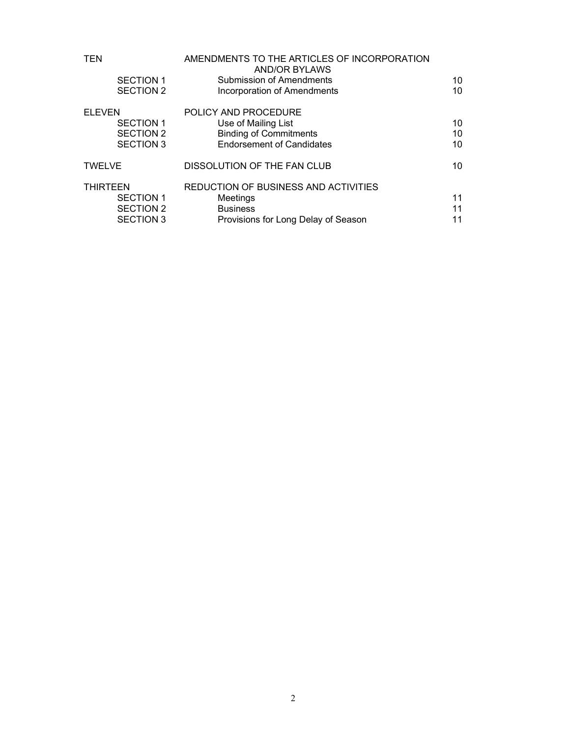| <b>TEN</b>       | AMENDMENTS TO THE ARTICLES OF INCORPORATION<br><b>AND/OR BYLAWS</b> |    |
|------------------|---------------------------------------------------------------------|----|
| <b>SECTION 1</b> | <b>Submission of Amendments</b>                                     | 10 |
| <b>SECTION 2</b> | <b>Incorporation of Amendments</b>                                  | 10 |
| <b>ELEVEN</b>    | POLICY AND PROCEDURE                                                |    |
| <b>SECTION 1</b> | Use of Mailing List                                                 | 10 |
| <b>SECTION 2</b> | <b>Binding of Commitments</b>                                       | 10 |
| <b>SECTION 3</b> | <b>Endorsement of Candidates</b>                                    | 10 |
| <b>TWELVE</b>    | DISSOLUTION OF THE FAN CLUB                                         | 10 |
| <b>THIRTEEN</b>  | REDUCTION OF BUSINESS AND ACTIVITIES                                |    |
| <b>SECTION 1</b> | Meetings                                                            | 11 |
| <b>SECTION 2</b> | <b>Business</b>                                                     | 11 |
| <b>SECTION 3</b> | Provisions for Long Delay of Season                                 | 11 |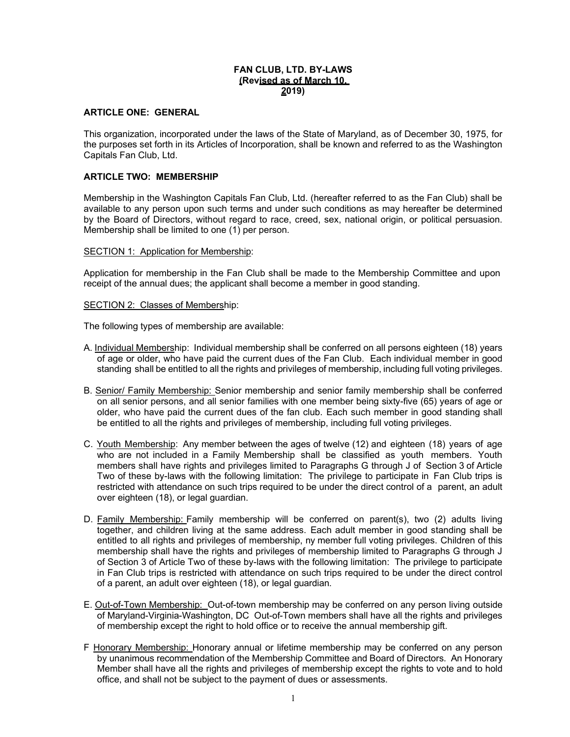# FAN CLUB, LTD. BY-LAWS (Revised as of March 10, 2019)

# ARTICLE ONE: GENERAL

This organization, incorporated under the laws of the State of Maryland, as of December 30, 1975, for the purposes set forth in its Articles of Incorporation, shall be known and referred to as the Washington Capitals Fan Club, Ltd.

# ARTICLE TWO: MEMBERSHIP

Membership in the Washington Capitals Fan Club, Ltd. (hereafter referred to as the Fan Club) shall be available to any person upon such terms and under such conditions as may hereafter be determined by the Board of Directors, without regard to race, creed, sex, national origin, or political persuasion. Membership shall be limited to one (1) per person.

#### SECTION 1: Application for Membership:

Application for membership in the Fan Club shall be made to the Membership Committee and upon receipt of the annual dues; the applicant shall become a member in good standing.

#### SECTION 2: Classes of Membership:

The following types of membership are available:

- A. Individual Membership: Individual membership shall be conferred on all persons eighteen (18) years of age or older, who have paid the current dues of the Fan Club. Each individual member in good standing shall be entitled to all the rights and privileges of membership, including full voting privileges.
- B. Senior/ Family Membership: Senior membership and senior family membership shall be conferred on all senior persons, and all senior families with one member being sixty-five (65) years of age or older, who have paid the current dues of the fan club. Each such member in good standing shall be entitled to all the rights and privileges of membership, including full voting privileges.
- C. Youth Membership: Any member between the ages of twelve (12) and eighteen (18) years of age who are not included in a Family Membership shall be classified as youth members. Youth members shall have rights and privileges limited to Paragraphs G through J of Section 3 of Article Two of these by-laws with the following limitation: The privilege to participate in Fan Club trips is restricted with attendance on such trips required to be under the direct control of a parent, an adult over eighteen (18), or legal guardian.
- D. Family Membership: Family membership will be conferred on parent(s), two (2) adults living together, and children living at the same address. Each adult member in good standing shall be entitled to all rights and privileges of membership, ny member full voting privileges. Children of this membership shall have the rights and privileges of membership limited to Paragraphs G through J of Section 3 of Article Two of these by-laws with the following limitation: The privilege to participate in Fan Club trips is restricted with attendance on such trips required to be under the direct control of a parent, an adult over eighteen (18), or legal guardian.
- E. Out-of-Town Membership: Out-of-town membership may be conferred on any person living outside of Maryland-Virginia-Washington, DC Out-of-Town members shall have all the rights and privileges of membership except the right to hold office or to receive the annual membership gift.
- F Honorary Membership: Honorary annual or lifetime membership may be conferred on any person by unanimous recommendation of the Membership Committee and Board of Directors. An Honorary Member shall have all the rights and privileges of membership except the rights to vote and to hold office, and shall not be subject to the payment of dues or assessments.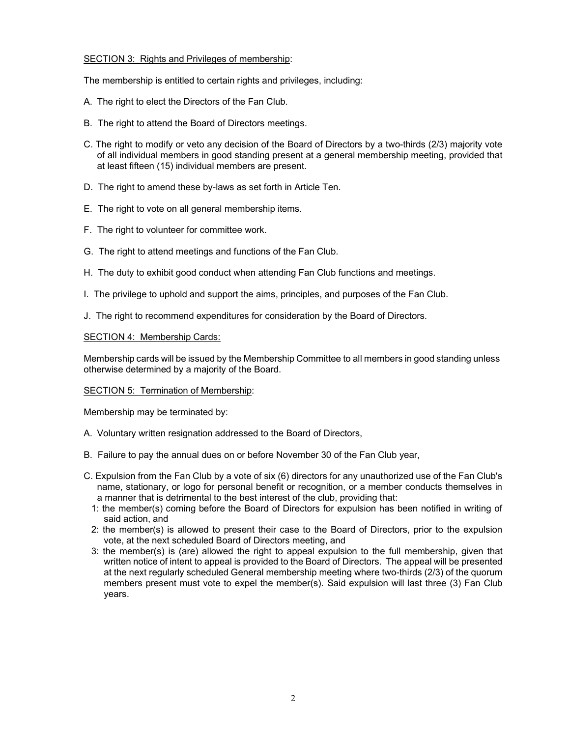# SECTION 3: Rights and Privileges of membership:

The membership is entitled to certain rights and privileges, including:

- A. The right to elect the Directors of the Fan Club.
- B. The right to attend the Board of Directors meetings.
- C. The right to modify or veto any decision of the Board of Directors by a two-thirds (2/3) majority vote of all individual members in good standing present at a general membership meeting, provided that at least fifteen (15) individual members are present.
- D. The right to amend these by-laws as set forth in Article Ten.
- E. The right to vote on all general membership items.
- F. The right to volunteer for committee work.
- G. The right to attend meetings and functions of the Fan Club.
- H. The duty to exhibit good conduct when attending Fan Club functions and meetings.
- I. The privilege to uphold and support the aims, principles, and purposes of the Fan Club.
- J. The right to recommend expenditures for consideration by the Board of Directors.

# SECTION 4: Membership Cards:

Membership cards will be issued by the Membership Committee to all members in good standing unless otherwise determined by a majority of the Board.

## SECTION 5: Termination of Membership:

Membership may be terminated by:

- A. Voluntary written resignation addressed to the Board of Directors,
- B. Failure to pay the annual dues on or before November 30 of the Fan Club year,
- C. Expulsion from the Fan Club by a vote of six (6) directors for any unauthorized use of the Fan Club's name, stationary, or logo for personal benefit or recognition, or a member conducts themselves in a manner that is detrimental to the best interest of the club, providing that:
	- 1: the member(s) coming before the Board of Directors for expulsion has been notified in writing of said action, and
	- 2: the member(s) is allowed to present their case to the Board of Directors, prior to the expulsion vote, at the next scheduled Board of Directors meeting, and
	- 3: the member(s) is (are) allowed the right to appeal expulsion to the full membership, given that written notice of intent to appeal is provided to the Board of Directors. The appeal will be presented at the next regularly scheduled General membership meeting where two-thirds (2/3) of the quorum members present must vote to expel the member(s). Said expulsion will last three (3) Fan Club years.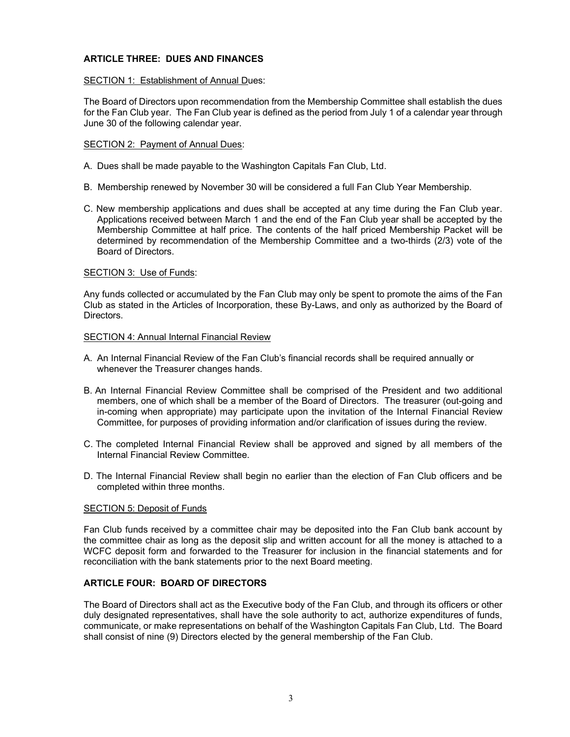# ARTICLE THREE: DUES AND FINANCES

# SECTION 1: Establishment of Annual Dues:

The Board of Directors upon recommendation from the Membership Committee shall establish the dues for the Fan Club year. The Fan Club year is defined as the period from July 1 of a calendar year through June 30 of the following calendar year.

# SECTION 2: Payment of Annual Dues:

- A. Dues shall be made payable to the Washington Capitals Fan Club, Ltd.
- B. Membership renewed by November 30 will be considered a full Fan Club Year Membership.
- C. New membership applications and dues shall be accepted at any time during the Fan Club year. Applications received between March 1 and the end of the Fan Club year shall be accepted by the Membership Committee at half price. The contents of the half priced Membership Packet will be determined by recommendation of the Membership Committee and a two-thirds (2/3) vote of the Board of Directors.

# SECTION 3: Use of Funds:

Any funds collected or accumulated by the Fan Club may only be spent to promote the aims of the Fan Club as stated in the Articles of Incorporation, these By-Laws, and only as authorized by the Board of Directors.

## SECTION 4: Annual Internal Financial Review

- A. An Internal Financial Review of the Fan Club's financial records shall be required annually or whenever the Treasurer changes hands.
- B. An Internal Financial Review Committee shall be comprised of the President and two additional members, one of which shall be a member of the Board of Directors. The treasurer (out-going and in-coming when appropriate) may participate upon the invitation of the Internal Financial Review Committee, for purposes of providing information and/or clarification of issues during the review.
- C. The completed Internal Financial Review shall be approved and signed by all members of the Internal Financial Review Committee.
- D. The Internal Financial Review shall begin no earlier than the election of Fan Club officers and be completed within three months.

## SECTION 5: Deposit of Funds

Fan Club funds received by a committee chair may be deposited into the Fan Club bank account by the committee chair as long as the deposit slip and written account for all the money is attached to a WCFC deposit form and forwarded to the Treasurer for inclusion in the financial statements and for reconciliation with the bank statements prior to the next Board meeting.

# ARTICLE FOUR: BOARD OF DIRECTORS

The Board of Directors shall act as the Executive body of the Fan Club, and through its officers or other duly designated representatives, shall have the sole authority to act, authorize expenditures of funds, communicate, or make representations on behalf of the Washington Capitals Fan Club, Ltd. The Board shall consist of nine (9) Directors elected by the general membership of the Fan Club.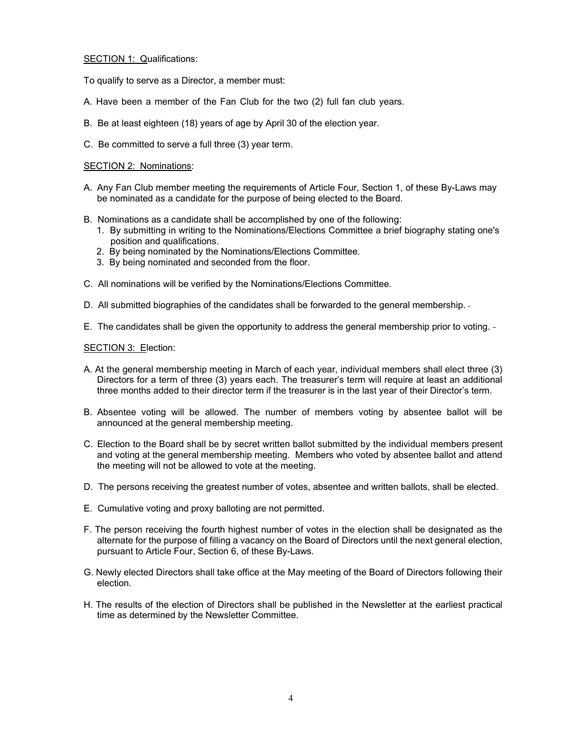SECTION 1: Qualifications:

To qualify to serve as a Director, a member must:

- A. Have been a member of the Fan Club for the two (2) full fan club years.
- B. Be at least eighteen (18) years of age by April 30 of the election year.
- C. Be committed to serve a full three (3) year term.

#### SECTION 2: Nominations:

- A. Any Fan Club member meeting the requirements of Article Four, Section 1, of these By-Laws may be nominated as a candidate for the purpose of being elected to the Board.
- B. Nominations as a candidate shall be accomplished by one of the following:
	- 1. By submitting in writing to the Nominations/Elections Committee a brief biography stating one's position and qualifications.
	- 2. By being nominated by the Nominations/Elections Committee.
	- 3. By being nominated and seconded from the floor.
- C. All nominations will be verified by the Nominations/Elections Committee.
- D. All submitted biographies of the candidates shall be forwarded to the general membership.
- E. The candidates shall be given the opportunity to address the general membership prior to voting.

#### SECTION 3: Election:

- A. At the general membership meeting in March of each year, individual members shall elect three (3) Directors for a term of three (3) years each. The treasurer's term will require at least an additional three months added to their director term if the treasurer is in the last year of their Director's term.
- B. Absentee voting will be allowed. The number of members voting by absentee ballot will be announced at the general membership meeting.
- C. Election to the Board shall be by secret written ballot submitted by the individual members present and voting at the general membership meeting. Members who voted by absentee ballot and attend the meeting will not be allowed to vote at the meeting.
- D. The persons receiving the greatest number of votes, absentee and written ballots, shall be elected.
- E. Cumulative voting and proxy balloting are not permitted.
- F. The person receiving the fourth highest number of votes in the election shall be designated as the alternate for the purpose of filling a vacancy on the Board of Directors until the next general election, pursuant to Article Four, Section 6, of these By-Laws.
- G. Newly elected Directors shall take office at the May meeting of the Board of Directors following their election.
- H. The results of the election of Directors shall be published in the Newsletter at the earliest practical time as determined by the Newsletter Committee.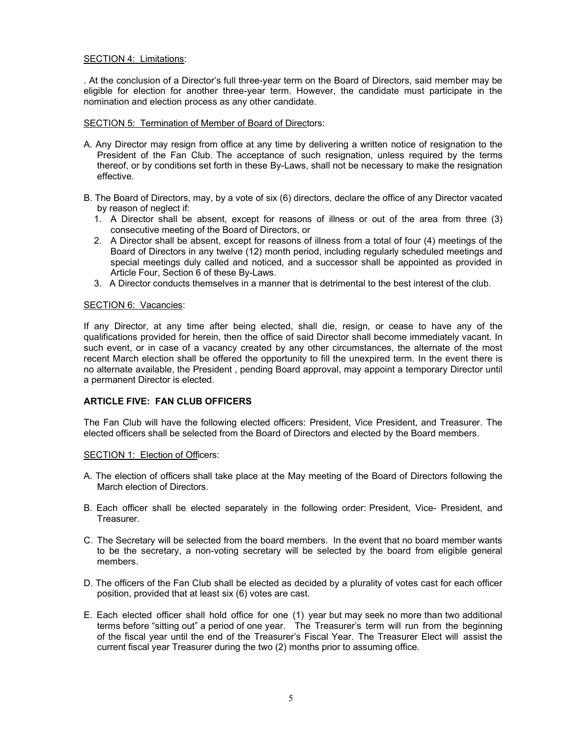# SECTION 4: Limitations:

. At the conclusion of a Director's full three-year term on the Board of Directors, said member may be eligible for election for another three-year term. However, the candidate must participate in the nomination and election process as any other candidate.

## SECTION 5: Termination of Member of Board of Directors:

- A. Any Director may resign from office at any time by delivering a written notice of resignation to the President of the Fan Club. The acceptance of such resignation, unless required by the terms thereof, or by conditions set forth in these By-Laws, shall not be necessary to make the resignation effective.
- B. The Board of Directors, may, by a vote of six (6) directors, declare the office of any Director vacated by reason of neglect if:
	- 1. A Director shall be absent, except for reasons of illness or out of the area from three (3) consecutive meeting of the Board of Directors, or
	- 2. A Director shall be absent, except for reasons of illness from a total of four (4) meetings of the Board of Directors in any twelve (12) month period, including regularly scheduled meetings and special meetings duly called and noticed, and a successor shall be appointed as provided in Article Four, Section 6 of these By-Laws.
	- 3. A Director conducts themselves in a manner that is detrimental to the best interest of the club.

## SECTION 6: Vacancies:

If any Director, at any time after being elected, shall die, resign, or cease to have any of the qualifications provided for herein, then the office of said Director shall become immediately vacant. In such event, or in case of a vacancy created by any other circumstances, the alternate of the most recent March election shall be offered the opportunity to fill the unexpired term. In the event there is no alternate available, the President , pending Board approval, may appoint a temporary Director until a permanent Director is elected.

# ARTICLE FIVE: FAN CLUB OFFICERS

The Fan Club will have the following elected officers: President, Vice President, and Treasurer. The elected officers shall be selected from the Board of Directors and elected by the Board members.

## SECTION 1: Election of Officers:

- A. The election of officers shall take place at the May meeting of the Board of Directors following the March election of Directors.
- B. Each officer shall be elected separately in the following order: President, Vice- President, and Treasurer.
- C. The Secretary will be selected from the board members. In the event that no board member wants to be the secretary, a non-voting secretary will be selected by the board from eligible general members.
- D. The officers of the Fan Club shall be elected as decided by a plurality of votes cast for each officer position, provided that at least six (6) votes are cast.
- E. Each elected officer shall hold office for one (1) year but may seek no more than two additional terms before "sitting out" a period of one year. The Treasurer's term will run from the beginning of the fiscal year until the end of the Treasurer's Fiscal Year. The Treasurer Elect will assist the current fiscal year Treasurer during the two (2) months prior to assuming office.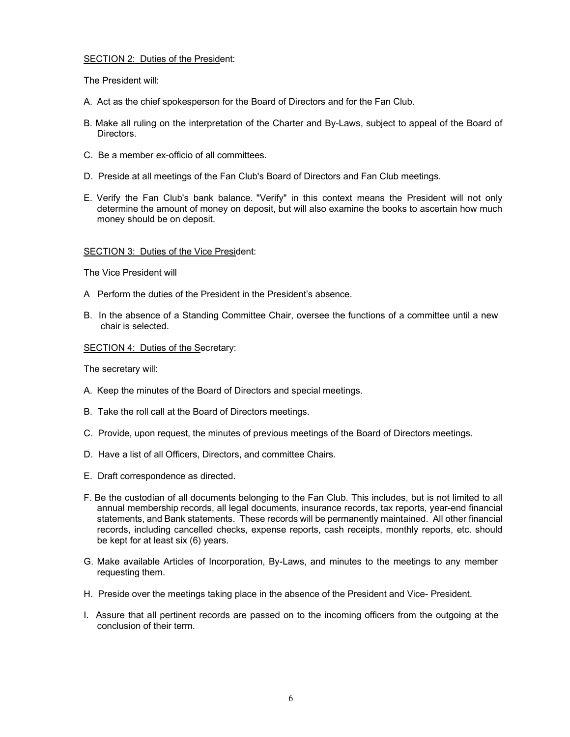## SECTION 2: Duties of the President:

The President will:

- A. Act as the chief spokesperson for the Board of Directors and for the Fan Club.
- B. Make all ruling on the interpretation of the Charter and By-Laws, subject to appeal of the Board of **Directors**
- C. Be a member ex-officio of all committees.
- D. Preside at all meetings of the Fan Club's Board of Directors and Fan Club meetings.
- E. Verify the Fan Club's bank balance. "Verify" in this context means the President will not only determine the amount of money on deposit, but will also examine the books to ascertain how much money should be on deposit.

#### SECTION 3: Duties of the Vice President:

The Vice President will

- A Perform the duties of the President in the President's absence.
- B. In the absence of a Standing Committee Chair, oversee the functions of a committee until a new chair is selected.

# SECTION 4: Duties of the Secretary:

The secretary will:

- A. Keep the minutes of the Board of Directors and special meetings.
- B. Take the roll call at the Board of Directors meetings.
- C. Provide, upon request, the minutes of previous meetings of the Board of Directors meetings.
- D. Have a list of all Officers, Directors, and committee Chairs.
- E. Draft correspondence as directed.
- F. Be the custodian of all documents belonging to the Fan Club. This includes, but is not limited to all annual membership records, all legal documents, insurance records, tax reports, year-end financial statements, and Bank statements. These records will be permanently maintained. All other financial records, including cancelled checks, expense reports, cash receipts, monthly reports, etc. should be kept for at least six (6) years.
- G. Make available Articles of Incorporation, By-Laws, and minutes to the meetings to any member requesting them.
- H. Preside over the meetings taking place in the absence of the President and Vice- President.
- I. Assure that all pertinent records are passed on to the incoming officers from the outgoing at the conclusion of their term.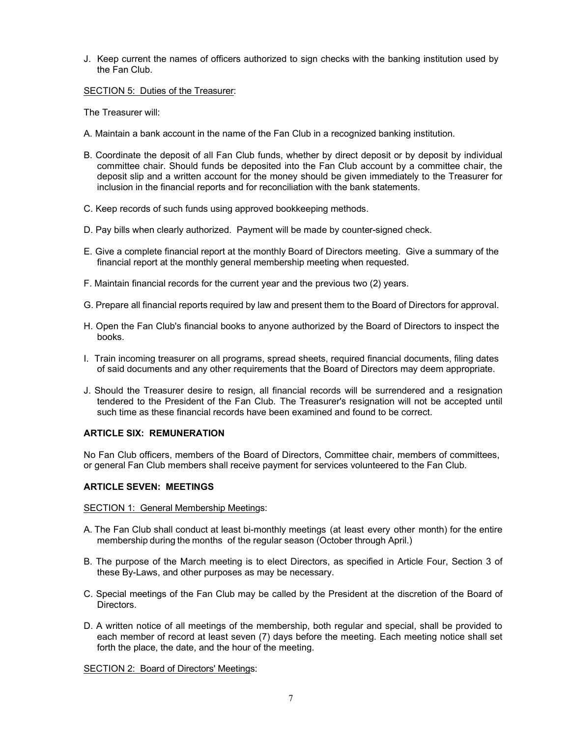J. Keep current the names of officers authorized to sign checks with the banking institution used by the Fan Club.

SECTION 5: Duties of the Treasurer:

The Treasurer will:

- A. Maintain a bank account in the name of the Fan Club in a recognized banking institution.
- B. Coordinate the deposit of all Fan Club funds, whether by direct deposit or by deposit by individual committee chair. Should funds be deposited into the Fan Club account by a committee chair, the deposit slip and a written account for the money should be given immediately to the Treasurer for inclusion in the financial reports and for reconciliation with the bank statements.
- C. Keep records of such funds using approved bookkeeping methods.
- D. Pay bills when clearly authorized. Payment will be made by counter-signed check.
- E. Give a complete financial report at the monthly Board of Directors meeting. Give a summary of the financial report at the monthly general membership meeting when requested.
- F. Maintain financial records for the current year and the previous two (2) years.
- G. Prepare all financial reports required by law and present them to the Board of Directors for approval.
- H. Open the Fan Club's financial books to anyone authorized by the Board of Directors to inspect the books.
- I. Train incoming treasurer on all programs, spread sheets, required financial documents, filing dates of said documents and any other requirements that the Board of Directors may deem appropriate.
- J. Should the Treasurer desire to resign, all financial records will be surrendered and a resignation tendered to the President of the Fan Club. The Treasurer's resignation will not be accepted until such time as these financial records have been examined and found to be correct.

## ARTICLE SIX: REMUNERATION

No Fan Club officers, members of the Board of Directors, Committee chair, members of committees, or general Fan Club members shall receive payment for services volunteered to the Fan Club.

## ARTICLE SEVEN: MEETINGS

#### SECTION 1: General Membership Meetings:

- A. The Fan Club shall conduct at least bi-monthly meetings (at least every other month) for the entire membership during the months of the regular season (October through April.)
- B. The purpose of the March meeting is to elect Directors, as specified in Article Four, Section 3 of these By-Laws, and other purposes as may be necessary.
- C. Special meetings of the Fan Club may be called by the President at the discretion of the Board of Directors.
- D. A written notice of all meetings of the membership, both regular and special, shall be provided to each member of record at least seven (7) days before the meeting. Each meeting notice shall set forth the place, the date, and the hour of the meeting.

SECTION 2: Board of Directors' Meetings: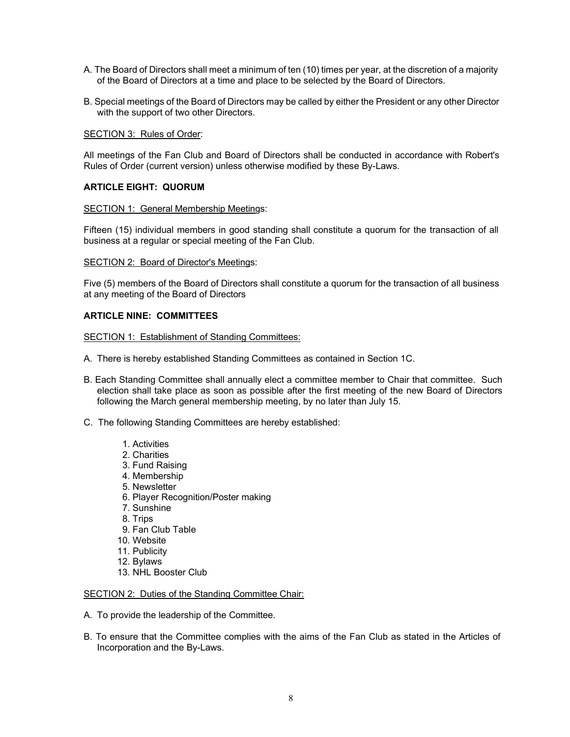- A. The Board of Directors shall meet a minimum of ten (10) times per year, at the discretion of a majority of the Board of Directors at a time and place to be selected by the Board of Directors.
- B. Special meetings of the Board of Directors may be called by either the President or any other Director with the support of two other Directors.

SECTION 3: Rules of Order:

All meetings of the Fan Club and Board of Directors shall be conducted in accordance with Robert's Rules of Order (current version) unless otherwise modified by these By-Laws.

### ARTICLE EIGHT: QUORUM

#### SECTION 1: General Membership Meetings:

Fifteen (15) individual members in good standing shall constitute a quorum for the transaction of all business at a regular or special meeting of the Fan Club.

#### SECTION 2: Board of Director's Meetings:

Five (5) members of the Board of Directors shall constitute a quorum for the transaction of all business at any meeting of the Board of Directors

#### ARTICLE NINE: COMMITTEES

SECTION 1: Establishment of Standing Committees:

- A. There is hereby established Standing Committees as contained in Section 1C.
- B. Each Standing Committee shall annually elect a committee member to Chair that committee. Such election shall take place as soon as possible after the first meeting of the new Board of Directors following the March general membership meeting, by no later than July 15.
- C. The following Standing Committees are hereby established:
	- 1. Activities
	- 2. Charities
	- 3. Fund Raising
	- 4. Membership
	- 5. Newsletter
	- 6. Player Recognition/Poster making
	- 7. Sunshine
	- 8. Trips
	- 9. Fan Club Table
	- 10. Website
	- 11. Publicity
	- 12. Bylaws
	- 13. NHL Booster Club

# SECTION 2: Duties of the Standing Committee Chair:

- A. To provide the leadership of the Committee.
- B. To ensure that the Committee complies with the aims of the Fan Club as stated in the Articles of Incorporation and the By-Laws.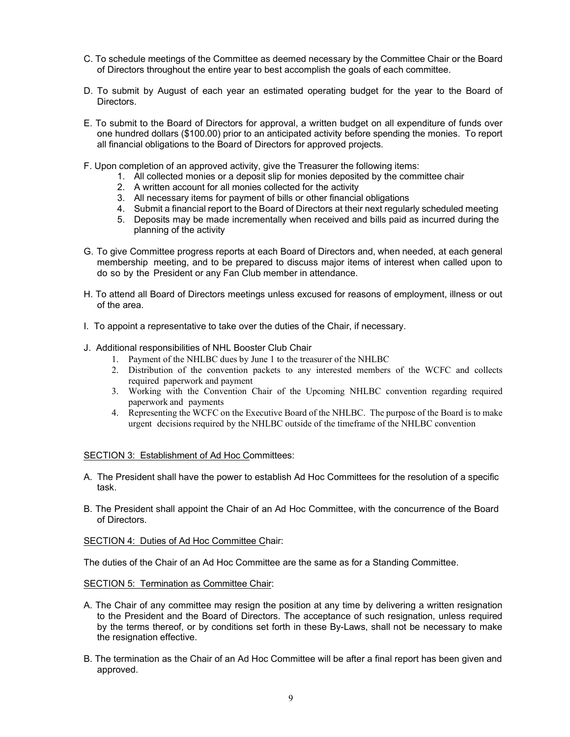- C. To schedule meetings of the Committee as deemed necessary by the Committee Chair or the Board of Directors throughout the entire year to best accomplish the goals of each committee.
- D. To submit by August of each year an estimated operating budget for the year to the Board of **Directors**
- E. To submit to the Board of Directors for approval, a written budget on all expenditure of funds over one hundred dollars (\$100.00) prior to an anticipated activity before spending the monies. To report all financial obligations to the Board of Directors for approved projects.
- F. Upon completion of an approved activity, give the Treasurer the following items:
	- 1. All collected monies or a deposit slip for monies deposited by the committee chair
	- 2. A written account for all monies collected for the activity
	- 3. All necessary items for payment of bills or other financial obligations
	- 4. Submit a financial report to the Board of Directors at their next regularly scheduled meeting
	- 5. Deposits may be made incrementally when received and bills paid as incurred during the planning of the activity
- G. To give Committee progress reports at each Board of Directors and, when needed, at each general membership meeting, and to be prepared to discuss major items of interest when called upon to do so by the President or any Fan Club member in attendance.
- H. To attend all Board of Directors meetings unless excused for reasons of employment, illness or out of the area.
- I. To appoint a representative to take over the duties of the Chair, if necessary.
- J. Additional responsibilities of NHL Booster Club Chair
	- 1. Payment of the NHLBC dues by June 1 to the treasurer of the NHLBC
	- 2. Distribution of the convention packets to any interested members of the WCFC and collects required paperwork and payment
	- 3. Working with the Convention Chair of the Upcoming NHLBC convention regarding required paperwork and payments
	- 4. Representing the WCFC on the Executive Board of the NHLBC. The purpose of the Board is to make urgent decisions required by the NHLBC outside of the timeframe of the NHLBC convention

#### SECTION 3: Establishment of Ad Hoc Committees:

- A. The President shall have the power to establish Ad Hoc Committees for the resolution of a specific task.
- B. The President shall appoint the Chair of an Ad Hoc Committee, with the concurrence of the Board of Directors.

SECTION 4: Duties of Ad Hoc Committee Chair:

The duties of the Chair of an Ad Hoc Committee are the same as for a Standing Committee.

SECTION 5: Termination as Committee Chair:

- A. The Chair of any committee may resign the position at any time by delivering a written resignation to the President and the Board of Directors. The acceptance of such resignation, unless required by the terms thereof, or by conditions set forth in these By-Laws, shall not be necessary to make the resignation effective.
- B. The termination as the Chair of an Ad Hoc Committee will be after a final report has been given and approved.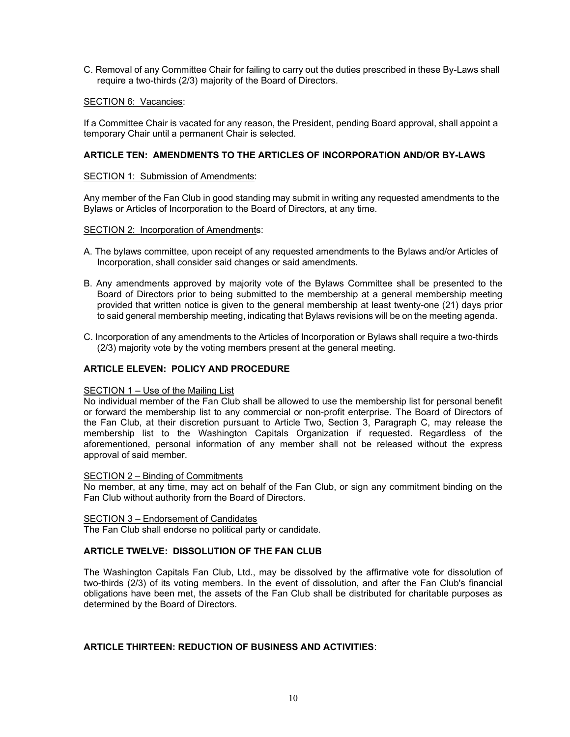C. Removal of any Committee Chair for failing to carry out the duties prescribed in these By-Laws shall require a two-thirds (2/3) majority of the Board of Directors.

### SECTION 6: Vacancies:

If a Committee Chair is vacated for any reason, the President, pending Board approval, shall appoint a temporary Chair until a permanent Chair is selected.

## ARTICLE TEN: AMENDMENTS TO THE ARTICLES OF INCORPORATION AND/OR BY-LAWS

#### SECTION 1: Submission of Amendments:

Any member of the Fan Club in good standing may submit in writing any requested amendments to the Bylaws or Articles of Incorporation to the Board of Directors, at any time.

## SECTION 2: Incorporation of Amendments:

- A. The bylaws committee, upon receipt of any requested amendments to the Bylaws and/or Articles of Incorporation, shall consider said changes or said amendments.
- B. Any amendments approved by majority vote of the Bylaws Committee shall be presented to the Board of Directors prior to being submitted to the membership at a general membership meeting provided that written notice is given to the general membership at least twenty-one (21) days prior to said general membership meeting, indicating that Bylaws revisions will be on the meeting agenda.
- C. Incorporation of any amendments to the Articles of Incorporation or Bylaws shall require a two-thirds (2/3) majority vote by the voting members present at the general meeting.

## ARTICLE ELEVEN: POLICY AND PROCEDURE

#### SECTION 1 – Use of the Mailing List

No individual member of the Fan Club shall be allowed to use the membership list for personal benefit or forward the membership list to any commercial or non-profit enterprise. The Board of Directors of the Fan Club, at their discretion pursuant to Article Two, Section 3, Paragraph C, may release the membership list to the Washington Capitals Organization if requested. Regardless of the aforementioned, personal information of any member shall not be released without the express approval of said member.

#### SECTION 2 – Binding of Commitments

No member, at any time, may act on behalf of the Fan Club, or sign any commitment binding on the Fan Club without authority from the Board of Directors.

#### SECTION 3 – Endorsement of Candidates

The Fan Club shall endorse no political party or candidate.

#### ARTICLE TWELVE: DISSOLUTION OF THE FAN CLUB

The Washington Capitals Fan Club, Ltd., may be dissolved by the affirmative vote for dissolution of two-thirds (2/3) of its voting members. In the event of dissolution, and after the Fan Club's financial obligations have been met, the assets of the Fan Club shall be distributed for charitable purposes as determined by the Board of Directors.

#### ARTICLE THIRTEEN: REDUCTION OF BUSINESS AND ACTIVITIES: